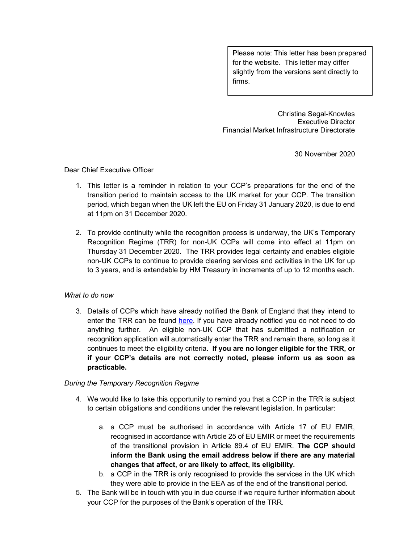Please note: This letter has been prepared for the website. This letter may differ slightly from the versions sent directly to firms.

Christina Segal-Knowles Executive Director Financial Market Infrastructure Directorate

30 November 2020

Dear Chief Executive Officer

- 1. This letter is a reminder in relation to your CCP's preparations for the end of the transition period to maintain access to the UK market for your CCP. The transition period, which began when the UK left the EU on Friday 31 January 2020, is due to end at 11pm on 31 December 2020.
- 2. To provide continuity while the recognition process is underway, the UK's Temporary Recognition Regime (TRR) for non-UK CCPs will come into effect at 11pm on Thursday 31 December 2020. The TRR provides legal certainty and enables eligible non-UK CCPs to continue to provide clearing services and activities in the UK for up to 3 years, and is extendable by HM Treasury in increments of up to 12 months each.

## What to do now

3. Details of CCPs which have already notified the Bank of England that they intend to enter the TRR can be found here. If you have already notified you do not need to do anything further. An eligible non-UK CCP that has submitted a notification or recognition application will automatically enter the TRR and remain there, so long as it continues to meet the eligibility criteria. If you are no longer eligible for the TRR, or if your CCP's details are not correctly noted, please inform us as soon as practicable.

## During the Temporary Recognition Regime

- 4. We would like to take this opportunity to remind you that a CCP in the TRR is subject to certain obligations and conditions under the relevant legislation. In particular:
	- a. a CCP must be authorised in accordance with Article 17 of EU EMIR, recognised in accordance with Article 25 of EU EMIR or meet the requirements of the transitional provision in Article 89.4 of EU EMIR. The CCP should inform the Bank using the email address below if there are any material changes that affect, or are likely to affect, its eligibility.
	- b. a CCP in the TRR is only recognised to provide the services in the UK which they were able to provide in the EEA as of the end of the transitional period.
- 5. The Bank will be in touch with you in due course if we require further information about your CCP for the purposes of the Bank's operation of the TRR.